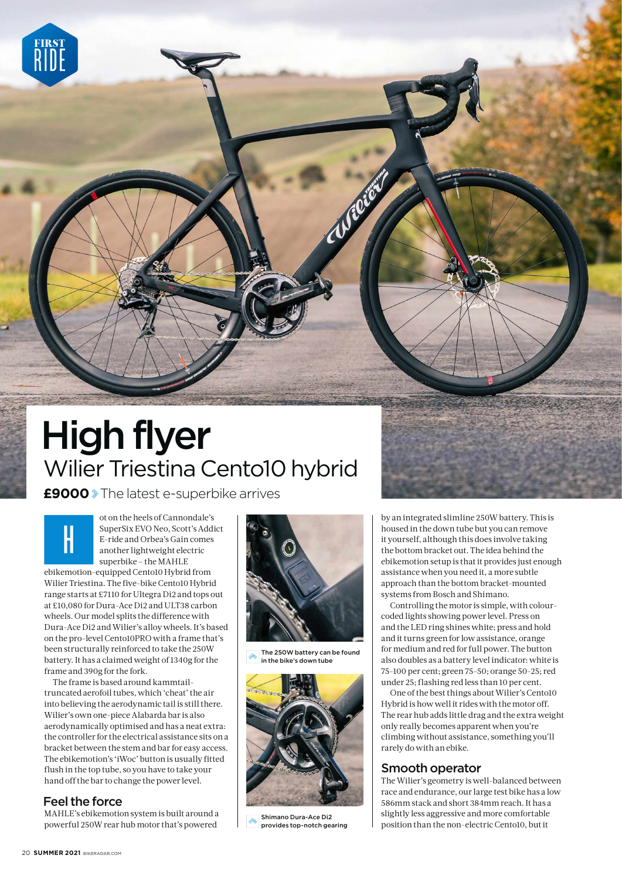

 **£9000** The latest e-superbike arrives

**H**

ot on the heels of Cannondale's SuperSix EVO Neo, Scott's Addict E-ride and Orbea's Gain comes another lightweight electric superbike – the MAHLE

ebikemotion-equipped Cento10 Hybrid from Wilier Triestina. The five-bike Cento10 Hybrid range starts at £7110 for Ultegra Di2 and tops out at £10,080 for Dura-Ace Di2 and ULT38 carbon wheels. Our model splits the difference with Dura-Ace Di2 and Wilier's alloy wheels. It's based on the pro-level Cento10PRO with a frame that's been structurally reinforced to take the 250W battery. It has a claimed weight of 1340g for the frame and 390g for the fork.

The frame is based around kammtailtruncated aerofoil tubes, which 'cheat' the air into believing the aerodynamic tail is still there. Wilier's own one-piece Alabarda bar is also aerodynamically optimised and has a neat extra: the controller for the electrical assistance sits on a bracket between the stem and bar for easy access. The ebikemotion's 'iWoc' button is usually fitted flush in the top tube, so you have to take your hand off the bar to change the power level.

## Feel the force

MAHLE's ebikemotion system is built around a powerful 250W rear hub motor that's powered



The 250W battery can be found in the bike's down tube



Shimano Dura-Ace Di2 provides top-notch gearing

by an integrated slimline 250W battery. This is housed in the down tube but you can remove it yourself, although this does involve taking the bottom bracket out. The idea behind the ebikemotion setup is that it provides just enough assistance when you need it, a more subtle approach than the bottom bracket-mounted systems from Bosch and Shimano.

Controlling the motor is simple, with colourcoded lights showing power level. Press on and the LED ring shines white; press and hold and it turns green for low assistance, orange for medium and red for full power. The button also doubles as a battery level indicator: white is 75-100 per cent; green 75-50; orange 50-25; red under 25; flashing red less than 10 per cent.

One of the best things about Wilier's Cento10 Hybrid is how well it rides with the motor off. The rear hub adds little drag and the extra weight only really becomes apparent when you're climbing without assistance, something you'll rarely do with an ebike.

## Smooth operator

The Wilier's geometry is well-balanced between race and endurance, our large test bike has a low 586mm stack and short 384mm reach. It has a slightly less aggressive and more comfortable position than the non-electric Cento10, but it